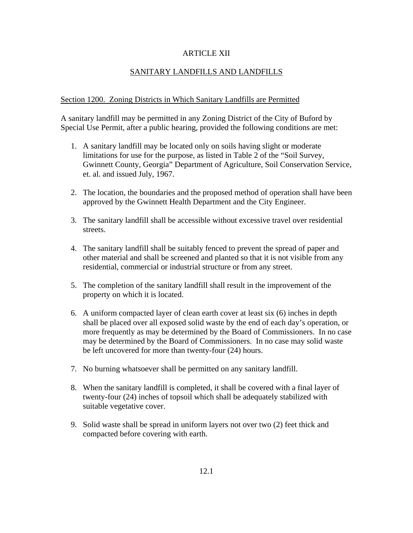### ARTICLE XII

# SANITARY LANDFILLS AND LANDFILLS

### Section 1200. Zoning Districts in Which Sanitary Landfills are Permitted

A sanitary landfill may be permitted in any Zoning District of the City of Buford by Special Use Permit, after a public hearing, provided the following conditions are met:

- 1. A sanitary landfill may be located only on soils having slight or moderate limitations for use for the purpose, as listed in Table 2 of the "Soil Survey, Gwinnett County, Georgia" Department of Agriculture, Soil Conservation Service, et. al. and issued July, 1967.
- 2. The location, the boundaries and the proposed method of operation shall have been approved by the Gwinnett Health Department and the City Engineer.
- 3. The sanitary landfill shall be accessible without excessive travel over residential streets.
- 4. The sanitary landfill shall be suitably fenced to prevent the spread of paper and other material and shall be screened and planted so that it is not visible from any residential, commercial or industrial structure or from any street.
- 5. The completion of the sanitary landfill shall result in the improvement of the property on which it is located.
- 6. A uniform compacted layer of clean earth cover at least six (6) inches in depth shall be placed over all exposed solid waste by the end of each day's operation, or more frequently as may be determined by the Board of Commissioners. In no case may be determined by the Board of Commissioners. In no case may solid waste be left uncovered for more than twenty-four (24) hours.
- 7. No burning whatsoever shall be permitted on any sanitary landfill.
- 8. When the sanitary landfill is completed, it shall be covered with a final layer of twenty-four (24) inches of topsoil which shall be adequately stabilized with suitable vegetative cover.
- 9. Solid waste shall be spread in uniform layers not over two (2) feet thick and compacted before covering with earth.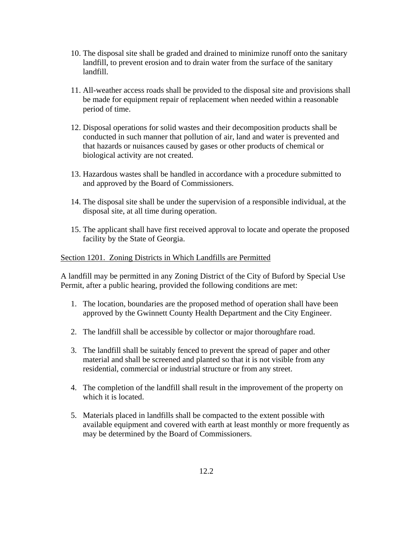- 10. The disposal site shall be graded and drained to minimize runoff onto the sanitary landfill, to prevent erosion and to drain water from the surface of the sanitary landfill.
- 11. All-weather access roads shall be provided to the disposal site and provisions shall be made for equipment repair of replacement when needed within a reasonable period of time.
- 12. Disposal operations for solid wastes and their decomposition products shall be conducted in such manner that pollution of air, land and water is prevented and that hazards or nuisances caused by gases or other products of chemical or biological activity are not created.
- 13. Hazardous wastes shall be handled in accordance with a procedure submitted to and approved by the Board of Commissioners.
- 14. The disposal site shall be under the supervision of a responsible individual, at the disposal site, at all time during operation.
- 15. The applicant shall have first received approval to locate and operate the proposed facility by the State of Georgia.

### Section 1201. Zoning Districts in Which Landfills are Permitted

A landfill may be permitted in any Zoning District of the City of Buford by Special Use Permit, after a public hearing, provided the following conditions are met:

- 1. The location, boundaries are the proposed method of operation shall have been approved by the Gwinnett County Health Department and the City Engineer.
- 2. The landfill shall be accessible by collector or major thoroughfare road.
- 3. The landfill shall be suitably fenced to prevent the spread of paper and other material and shall be screened and planted so that it is not visible from any residential, commercial or industrial structure or from any street.
- 4. The completion of the landfill shall result in the improvement of the property on which it is located.
- 5. Materials placed in landfills shall be compacted to the extent possible with available equipment and covered with earth at least monthly or more frequently as may be determined by the Board of Commissioners.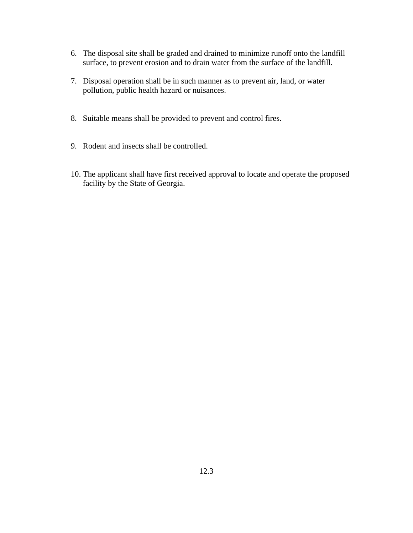- 6. The disposal site shall be graded and drained to minimize runoff onto the landfill surface, to prevent erosion and to drain water from the surface of the landfill.
- 7. Disposal operation shall be in such manner as to prevent air, land, or water pollution, public health hazard or nuisances.
- 8. Suitable means shall be provided to prevent and control fires.
- 9. Rodent and insects shall be controlled.
- 10. The applicant shall have first received approval to locate and operate the proposed facility by the State of Georgia.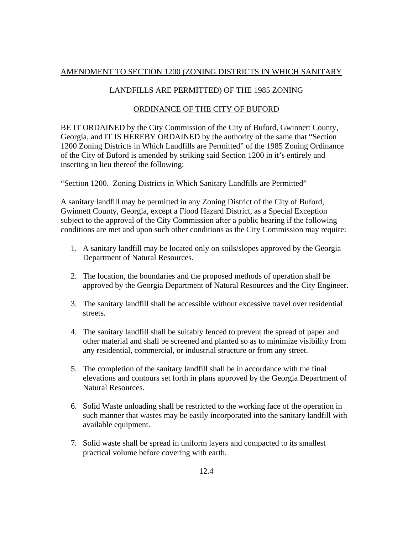# AMENDMENT TO SECTION 1200 (ZONING DISTRICTS IN WHICH SANITARY

## LANDFILLS ARE PERMITTED) OF THE 1985 ZONING

## ORDINANCE OF THE CITY OF BUFORD

BE IT ORDAINED by the City Commission of the City of Buford, Gwinnett County, Georgia, and IT IS HEREBY ORDAINED by the authority of the same that "Section 1200 Zoning Districts in Which Landfills are Permitted" of the 1985 Zoning Ordinance of the City of Buford is amended by striking said Section 1200 in it's entirely and inserting in lieu thereof the following:

### "Section 1200. Zoning Districts in Which Sanitary Landfills are Permitted"

A sanitary landfill may be permitted in any Zoning District of the City of Buford, Gwinnett County, Georgia, except a Flood Hazard District, as a Special Exception subject to the approval of the City Commission after a public hearing if the following conditions are met and upon such other conditions as the City Commission may require:

- 1. A sanitary landfill may be located only on soils/slopes approved by the Georgia Department of Natural Resources.
- 2. The location, the boundaries and the proposed methods of operation shall be approved by the Georgia Department of Natural Resources and the City Engineer.
- 3. The sanitary landfill shall be accessible without excessive travel over residential streets.
- 4. The sanitary landfill shall be suitably fenced to prevent the spread of paper and other material and shall be screened and planted so as to minimize visibility from any residential, commercial, or industrial structure or from any street.
- 5. The completion of the sanitary landfill shall be in accordance with the final elevations and contours set forth in plans approved by the Georgia Department of Natural Resources.
- 6. Solid Waste unloading shall be restricted to the working face of the operation in such manner that wastes may be easily incorporated into the sanitary landfill with available equipment.
- 7. Solid waste shall be spread in uniform layers and compacted to its smallest practical volume before covering with earth.